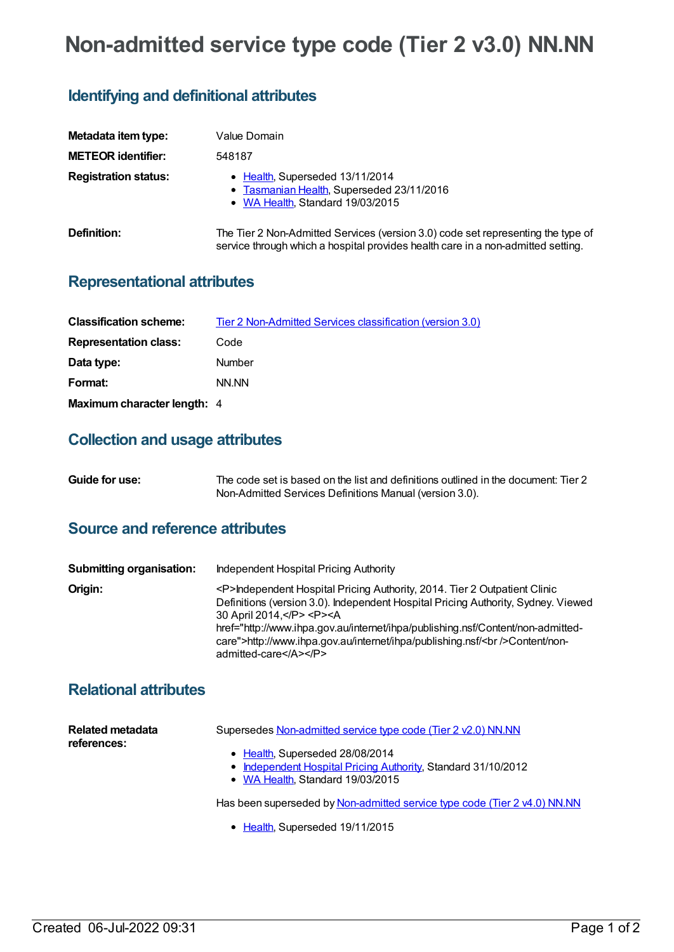# **Non-admitted service type code (Tier 2 v3.0) NN.NN**

## **Identifying and definitional attributes**

| Metadata item type:         | Value Domain                                                                                                                                                         |
|-----------------------------|----------------------------------------------------------------------------------------------------------------------------------------------------------------------|
| <b>METEOR identifier:</b>   | 548187                                                                                                                                                               |
| <b>Registration status:</b> | • Health, Superseded 13/11/2014<br>• Tasmanian Health, Superseded 23/11/2016<br>• WA Health, Standard 19/03/2015                                                     |
| Definition:                 | The Tier 2 Non-Admitted Services (version 3.0) code set representing the type of<br>service through which a hospital provides health care in a non-admitted setting. |

### **Representational attributes**

| <b>Classification scheme:</b> | <b>Tier 2 Non-Admitted Services classification (version 3.0)</b> |
|-------------------------------|------------------------------------------------------------------|
| <b>Representation class:</b>  | Code                                                             |
| Data type:                    | <b>Number</b>                                                    |
| Format:                       | NN NN                                                            |
| Maximum character length: 4   |                                                                  |

#### **Collection and usage attributes**

| Guide for use: | The code set is based on the list and definitions outlined in the document: Tier 2 |
|----------------|------------------------------------------------------------------------------------|
|                | Non-Admitted Services Definitions Manual (version 3.0).                            |

## **Source and reference attributes**

| <b>Submitting organisation:</b> | Independent Hospital Pricing Authority                                                                                                                                                                                                                                                                                                                                                               |
|---------------------------------|------------------------------------------------------------------------------------------------------------------------------------------------------------------------------------------------------------------------------------------------------------------------------------------------------------------------------------------------------------------------------------------------------|
| Origin:                         | <p>Independent Hospital Pricing Authority, 2014. Tier 2 Outpatient Clinic<br/>Definitions (version 3.0). Independent Hospital Pricing Authority, Sydney. Viewed<br/>30 April 2014, </p> <p><a<br>href="http://www.ihpa.gov.au/internet/ihpa/publishing.nsf/Content/non-admitted-<br/>care"&gt;http://www.ihpa.gov.au/internet/ihpa/publishing.nsf/<br/>&gt;Content/non-<br/>admitted-care</a<br></p> |

## **Relational attributes**

| Related metadata<br>references: | Supersedes Non-admitted service type code (Tier 2 v2.0) NN.NN                                     |
|---------------------------------|---------------------------------------------------------------------------------------------------|
|                                 | • Health, Superseded 28/08/2014                                                                   |
|                                 | • Independent Hospital Pricing Authority, Standard 31/10/2012<br>• WA Health, Standard 19/03/2015 |
|                                 | Has been superseded by Non-admitted service type code (Tier 2 v4.0) NN.NN                         |

• [Health](https://meteor.aihw.gov.au/RegistrationAuthority/12), Superseded 19/11/2015